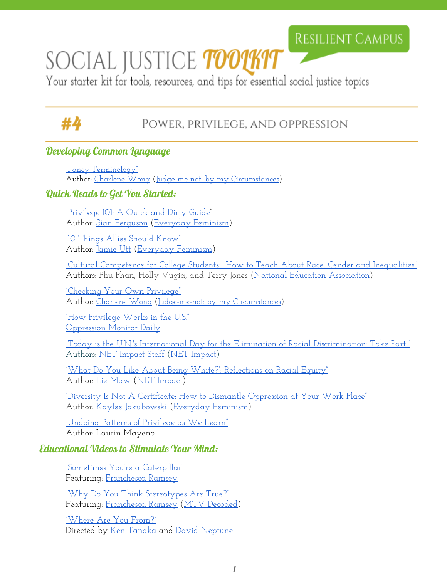## **RESILIENT CAMPUS**

# SOCIAL JUSTICE TOOUKIT

Your starter kit for tools, resources, and tips for essential social justice topics

## #4

### Power, privilege, and oppression

#### Developing Common Language

["Fancy Terminology"](http://judge-me-not.weebly.com/fancy-terminology.html) Author: [Charlene Wong](http://judge-me-not.weebly.com/biography.html) [\(Judge-me-not: by my Circumstances\)](http://judge-me-not.weebly.com/)

#### Quick Reads to Get You Started:

["Privilege 101: A Quick](http://everydayfeminism.com/2014/09/what-is-privilege/) and Dirty Guide" Author: [Sian Ferguson](http://everydayfeminism.com/author/sian-ferguson/) ([Everyday](http://everydayfeminism.com/) Feminism)

["10 Things Allies Should](http://everydayfeminism.com/2013/11/things-allies-need-to-know/) Know" Author: <u>Jamie Utt</u> [\(Everyday](http://everydayfeminism.com/) Feminism)

["Cultural Competence](http://www.nea.org/home/65432.htm) for College Students: How to Teach About Race, Gender and Inequalities" Authors: Phu Phan, Holly Vugia, and Terry Jones [\(National Education](http://www.nea.org/) Association)

["Checking Your Own](http://unitevamag.com/connect/checking-your-own-privilege/) Privilege" Author: [Charlene Wong](http://judge-me-not.weebly.com/biography.html) [\(Judge-me-not: by my Circumstances\)](http://judge-me-not.weebly.com/)

["How Privilege Works in](http://leadershiplearning.org/blog/llc-staff/2015-09-29/guest-blog-undoing-patterns-privilege-we-learn-laurin-mayeno) the U.S." [Oppression Monitor Daily](http://oppressionmonitor.us/)

["Today is the U.N.'s International Day](https://www.netimpact.org/blog/today-is-the-uns-international-day-for-the-elimination-of-racial-discrimination-take-part) for the Elimination of Racial Discrimination: Take Part!" Authors: [NET Impact Staff](https://www.netimpact.org/blog/author/net-impact-staff) [\(NET Impact\)](https://www.netimpact.org/)

["What Do You Like About Being White?':](https://www.netimpact.org/blog/what-do-you-like-about-being-white-reflections-on-racial-equity) Reflections on Racial Equity" Author: <u>Liz Maw</u> [\(NET Impact\)](https://www.netimpact.org/)

["Diversity Is Not A Certificate:](http://everydayfeminism.com/2015/02/dismantling-oppression-at-work/) How to Dismantle Oppression at Your Work Place" Author: [Kaylee Jakubowski](http://everydayfeminism.com/author/kayleej/) [\(Everyday](http://everydayfeminism.com/) Feminism)

["Undoing Patterns of Privilege](http://leadershiplearning.org/blog/llc-staff/2015-09-29/guest-blog-undoing-patterns-privilege-we-learn-laurin-mayeno) as We Learn["](http://leadershiplearning.org/blog/llc-staff/2015-09-29/guest-blog-undoing-patterns-privilege-we-learn-laurin-mayeno) Author: Laurin Mayeno

#### Educational Videos to Stimulate Your Mind:

["Sometimes You're a Caterpillar"](https://www.youtube.com/watch?v=hRiWgx4sHGg) Featuring: [Franchesca](https://twitter.com/chescaleigh) Ramsey

["Why Do You Think](https://www.youtube.com/watch?v=D1-aSIUP4wM) Stereotypes Are True?" Featuring: [Franchesca](https://twitter.com/chescaleigh) Ramsey [\(MTV Decoded\)](http://www.mtv.com/shows/decoded)

["Where Are You From?"](https://www.youtube.com/watch?v=crAv5ttax2I) Directed by [Ken Tanaka](http://www.kentanakalovesyou.com/) and David [Neptune](https://www.youtube.com/user/davidneptune)